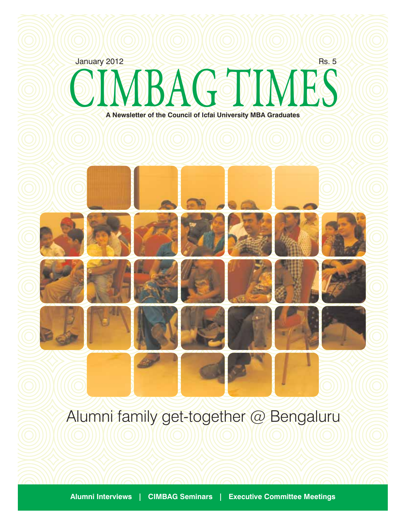

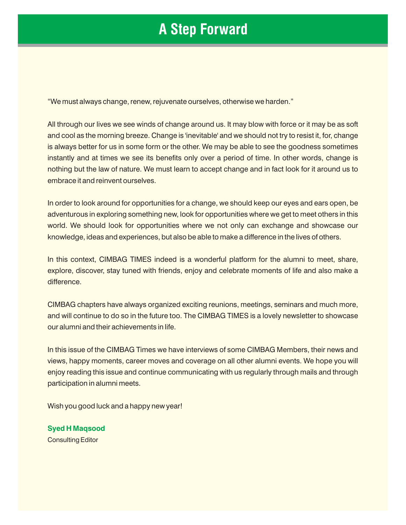### **A Step Forward**

"We must always change, renew, rejuvenate ourselves, otherwise we harden."

All through our lives we see winds of change around us. It may blow with force or it may be as soft and cool as the morning breeze. Change is 'inevitable' and we should not try to resist it, for, change is always better for us in some form or the other. We may be able to see the goodness sometimes instantly and at times we see its benefits only over a period of time. In other words, change is nothing but the law of nature. We must learn to accept change and in fact look for it around us to embrace it and reinvent ourselves.

In order to look around for opportunities for a change, we should keep our eyes and ears open, be adventurous in exploring something new, look for opportunities where we get to meet others in this world. We should look for opportunities where we not only can exchange and showcase our knowledge, ideas and experiences, but also be able to make a difference in the lives of others.

In this context, CIMBAG TIMES indeed is a wonderful platform for the alumni to meet, share, explore, discover, stay tuned with friends, enjoy and celebrate moments of life and also make a difference.

CIMBAG chapters have always organized exciting reunions, meetings, seminars and much more, and will continue to do so in the future too. The CIMBAG TIMES is a lovely newsletter to showcase our alumni and their achievements in life.

In this issue of the CIMBAG Times we have interviews of some CIMBAG Members, their news and views, happy moments, career moves and coverage on all other alumni events. We hope you will enjoy reading this issue and continue communicating with us regularly through mails and through participation in alumni meets.

Wish you good luck and a happy new year!

**Syed H Maqsood** Consulting Editor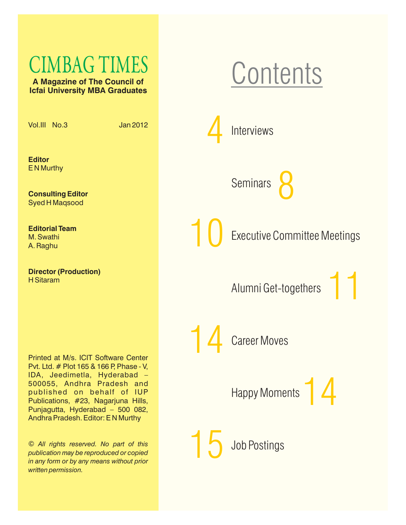# CIMBAG TIMES

**A Magazine of The Council of Icfai University MBA Graduates**

Vol.III No.3 Jan 2012

**Editor** E N Murthy

**Consulting Editor** Syed H Maqsood

**Editorial Team**  M. Swathi A. Raghu

**Director (Production)** H Sitaram

Printed at M/s. ICIT Software Center Pvt. Ltd. # Plot 165 & 166 P, Phase - V, IDA, Jeedimetla, Hyderabad – 500055, Andhra Pradesh and published on behalf of IUP Publications, #23, Nagarjuna Hills, Punjagutta, Hyderabad – 500 082, Andhra Pradesh. Editor: E N Murthy

© *All rights reserved. No part of this publication may be reproduced or copied in any form or by any means without prior written permission.*

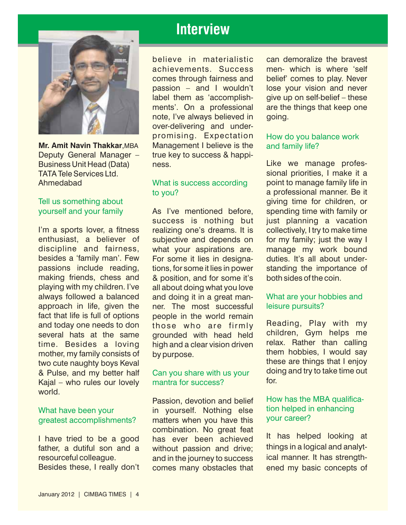

Deputy General Manager – true key to success & happi-

#### Tell us something about yourself and your family

I'm a sports lover, a fitness realizing one's dreams. It is collectively, I try to make time enthusiast, a believer of subjective and depends on for my family; just the way I discipline and fairness, what your aspirations are, manage my work bound besides a 'family man'. Few For some it lies in designa- duties. It's all about underpassions include reading, tions, for some it lies in power standing the importance of making friends, chess and & position, and for some it's both sides of the coin. playing with my children. I've all about doing what you love always followed a balanced and doing it in a great manapproach in life, given the ner. The most successful fact that life is full of options people in the world remain<br>and today one needs to don those who are firmly several hats at the same children, Gym helps me<br>time. Besides a loving high and a clear vision driven relax. Rather than calling<br>mother my family consists of by purpose them hobbies. I would say mother, my family consists of them hobbies, I would say<br>two cute naughty boys Keval these are things that I enjoy<br>& Pulse and my better half Can you share with us your doing and try to take time out & Pulse, and my better half  $\alpha$  Can you share with us your doing doing and the case our lovely and the success? Kajal – who rules our lovely world.

father, a dutiful son and a without passion and drive; things in a logical and analyt-<br>resourceful colleague. The inthe journey to success in cal manner. It has strengthresourceful colleague. and in the journey to success

### **Interview**

believe in materialistic can demoralize the bravest note, I've always believed in going. over-delivering and underpromising. Expectation **Mr. Amit Navin Thakkar**,MBA Management I believe is the

### to you?

As I've mentioned before, spending time with family or success is nothing but just planning a vacation what your aspirations are. manage my work bound & position, and for some it's both sides of the coin. those who are firmly Reading, Play with my<br>grounded with head held children, Gym helps me

#### Can you share with us your mantra for success?

Passion, devotion and belief What have been your **the state of the system of the system of the system of the verter system** what have been your greatest accomplishments? matters when you have this your career? combination. No great feat<br>I have tried to be a good has ever been achieved It has helped looking at <br>I have tried to be a good has ever been achieved It has helped looking at<br>father, a dutiful son and a without passion an Besides these, I really don't comes many obstacles that ened my basic concepts of

achievements. Success men- which is where 'self comes through fairness and belief' comes to play. Never passion – and I wouldn't lose your vision and never label them as 'accomplish- give up on self-belief – these ments'. On a professional are the things that keep one

### How do you balance work and family life?

Business Unit Head (Data) ness. The manage profes-TATA Tele Services Ltd.<br>
Mhat is success according a point to manage family life in Ahmedabad Ahmedabad **point to manage family life in** Moral is success according point to manage family life in a professional manner. Be it giving time for children, or

#### What are your hobbies and leisure pursuits?

# How has the MBA qualifica-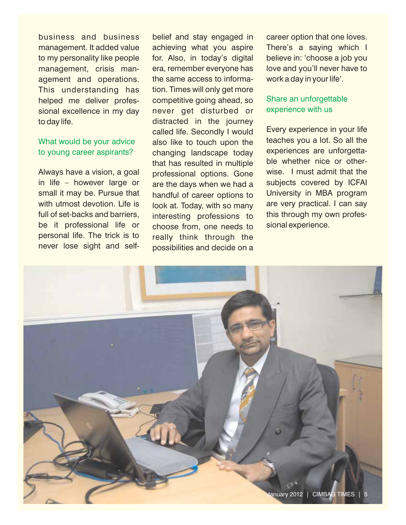business and business belief and stay engaged in career option that one loves. management. It added value achieving what you aspire There's a saying which I to my personality like people for. Also, in today's digital believe in: 'choose a job you management, crisis man- era, remember everyone has love and you'll never have to agement and operations. the same access to informa- work a day in your life'. This understanding has tion. Times will only get more helped me deliver profes- competitive going ahead, so sional excellence in my day never get disturbed or to day life. The state of the intervals of the intervals of the intervals of the intervals of the intervals of the intervals of the intervals of the intervals of the intervals of the intervals of the intervals of the inter

### What would be your advice to young career aspirants?

personal life. The trick is to really think through the never lose sight and self-<br>nossibilities and decide on a

called life. Secondly I would Every experience in your life<br>also like to touch upon the teaches you a lot. So all the also like to touch upon the teaches you a lot. So all the<br>changing landscape today to experiences are unforgettachanging landscape today experiences are unforgetta-<br>that has resulted in multiple ble whether nice or otherthat has resulted in multiple ble whether nice or other-<br>professional options. Gone wise, I must admit that the Always have a vision, a goal professional options. Gone wise. I must admit that the in life – however large or are the days when we had a subjects covered by ICFAI in life – however large or are the days when we had a subjects covered by ICFAI<br>small it may be. Pursue that bandful of career options to University in MBA program handful of career options to with utmost devotion. Life is a look at. Today, with so many are very practical. I can say full of set-backs and barriers, interesting professions to this through my own profesbe it professional life or choose from, one needs to sional experience. possibilities and decide on a

### Share an unforgettable experience with us

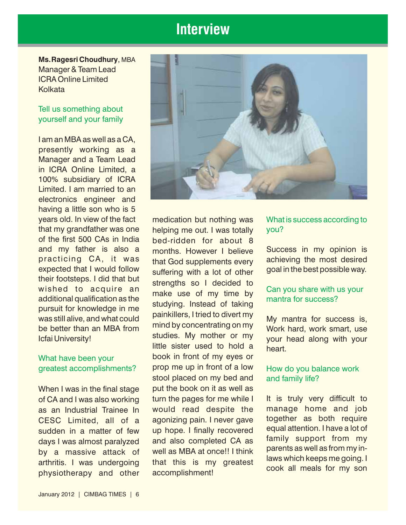### **Interview**

**Ms.Ragesri Choudhury**, MBA Manager & Team Lead ICRA Online Limited **Kolkata** 

#### Tell us something about yourself and your family

I am an MBA as well as a CA, presently working as a Manager and a Team Lead in ICRA Online Limited, a 100% subsidiary of ICRA Limited. I am married to an electronics engineer and having a little son who is 5 years old. In view of the fact medication but nothing was that my grandfather was one helping me out. I was totally<br>of the first 500 CAs in India bed-ridden, for about 8 of the first 500 CAs in India bed-ridden for about 8<br>and my father is also a months Howeyer I believe

## What have been your

of CA and I was also working turn the pages for me while I It is truly very difficult to as an Industrial Trainee In would read despite the manage home and job CESC Limited, all of a agonizing pain. I never gave together as both require<br>sudden in a matter of few up hone I finally recovered equal attention. I have a lot of sudden in a matter of few up hope. I finally recovered equal attention. I have a lot of sudden in a matter of few up hope. I finally recovered equal attention. I have a lot of days I was almost paralyzed and also completed CA as almost paralyzed and also completed CA as parents as well as from my in-<br>by a massive attack of well as MBA at once!! I think parents as well as from my inarthritis. I was undergoing that this is my greatest laws which keeps me going. I physiotherapy and other accomplishment!



and my father is also a months. However I believe Success in my opinion is practicing CA, it was that God supplements every achieving the most desired practicing CA, it was<br>expected that I would follow<br>their footsteps. I did that but<br>wished to acquire an make use of my time by<br>additional qualification as the<br>pursuit for knowledge in me<br>was still alive, and what could<br>be book in front of my eyes or prop me up in front of a low stool placed on my bed and When I was in the final stage put the book on it as well as greatest accomplishments? prop me up in front of a low How do you balance work

What is success according to you?

### Can you share with us your mantra for success?

### and family life?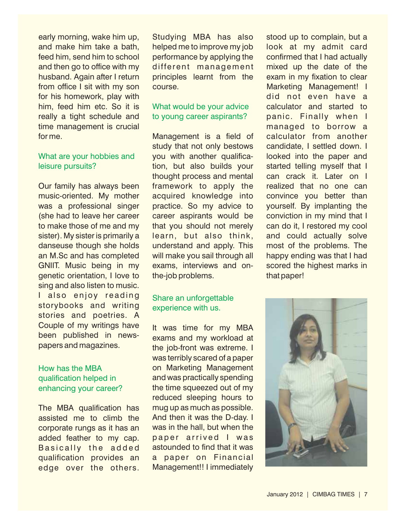### What are your hobbies and leisure pursuits?

music-oriented. My mother acquired knowledge into convince you better than was a professional singer practice. So my advice to yourself. By implanting the (she had to leave her career career aspirants would be conviction in my mind that I to make those of me and my that you should not merely can do it, I restored my cool sister). My sister is primarily a learn, but also think, and could actually solve danseuse though she holds understand and apply. This most of the problems. The an M.Sc and has completed will make you sail through all happy ending was that I had GNIIT. Music being in my exams, interviews and on- scored the highest marks in genetic orientation, I love to the-job problems. That paper! sing and also listen to music. I also enjoy reading storybooks and writing stories and poetries. A<br>Couple of my writings have Couple of my writings have It was time for my MBA<br>been published in news- exams and my workload at papers and magazines.<br>the job-front was extreme. I

### How has the MBA qualification helped in enhancing your career?

assisted me to climb the And then it was the D-day. I corporate rungs as it has an was in the hall, but when the corporate rungs as it has an added feather to my cap. paper arrived I was Basically the added astounded to find that it was qualification provides an a paper on Financial edge over the others.

early morning, wake him up, Studying MBA has also stood up to complain, but a and make him take a bath, helped me to improve my job look at my admit card feed him, send him to school performance by applying the confirmed that I had actually and then go to office with my different management mixed up the date of the husband. Again after I return principles learnt from the exam in my fixation to clear from office I sit with my son course. Marketing Management! I

## to young career aspirants?

study that not only bestows candidate, I settled down. I you with another qualifica- looked into the paper and tion, but also builds your started telling myself that I thought process and mental can crack it. Later on I Our family has always been framework to apply the realized that no one can

#### Share an unforgettable experience with us.

was terribly scared of a paper on Marketing Management and was practically spending the time squeezed out of my reduced sleeping hours to The MBA qualification has mug up as much as possible.

for his homework, play with the contract of the did not even have a him, feed him etc. So it is What would be your advice calculator and started to really a tight schedule and to young career aspirants? panic. Finally when I time management is crucial managed to borrow a for me. Management is a field of calculator from another

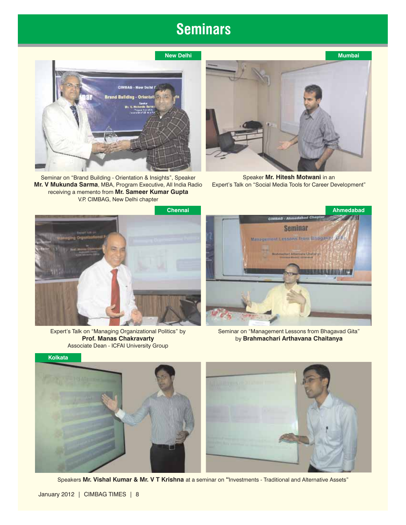### **Seminars**



Seminar on "Brand Building - Orientation & Insights", Speaker Mr. V Mukunda Sarma, MBA, Program Executive, All India Radio receiving a memento from **Mr. Sameer Kumar Gupta** V.P. CIMBAG, New Delhi chapter



Speaker **Mr. Hitesh Motwani** in an Expert's Talk on "Social Media Tools for Career Development"



Expert's Talk on "Managing Organizational Politics" by **Prof. Manas Chakravarty** Associate Dean - ICFAI University Group



Seminar on "Management Lessons from Bhagavad Gita" by **Brahmachari Arthavana Chaitanya**



Speakers **Mr. Vishal Kumar & Mr. V T Krishna** at a seminar on "Investments - Traditional and Alternative Assets"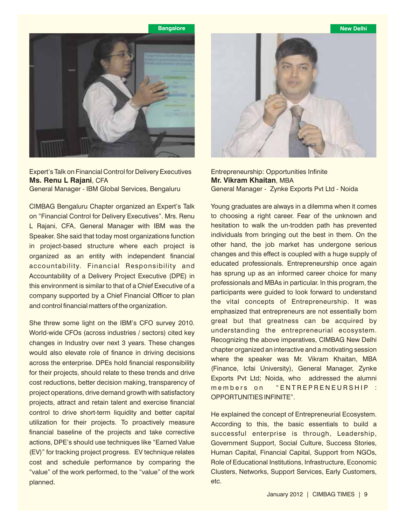

Expert's Talk on Financial Control for Delivery Executives **Ms. Renu L Rajani**, CFA General Manager - IBM Global Services, Bengaluru

CIMBAG Bengaluru Chapter organized an Expert's Talk on "Financial Control for Delivery Executives". Mrs. Renu L Rajani, CFA, General Manager with IBM was the Speaker. She said that today most organizations function in project-based structure where each project is organized as an entity with independent financial accountability. Financial Responsibility and Accountability of a Delivery Project Executive (DPE) in this environment is similar to that of a Chief Executive of a company supported by a Chief Financial Officer to plan and control financial matters of the organization.

She threw some light on the IBM's CFO survey 2010. World-wide CFOs (across industries / sectors) cited key changes in Industry over next 3 years. These changes would also elevate role of finance in driving decisions across the enterprise. DPEs hold financial responsibility for their projects, should relate to these trends and drive cost reductions, better decision making, transparency of project operations, drive demand growth with satisfactory projects, attract and retain talent and exercise financial control to drive short-term liquidity and better capital utilization for their projects. To proactively measure financial baseline of the projects and take corrective actions, DPE's should use techniques like "Earned Value (EV)" for tracking project progress. EV technique relates cost and schedule performance by comparing the "value" of the work performed, to the "value" of the work planned.



Entrepreneurship: Opportunities Infinite **Mr. Vikram Khaitan**, MBA General Manager - Zynke Exports Pvt Ltd - Noida

Young graduates are always in a dilemma when it comes to choosing a right career. Fear of the unknown and hesitation to walk the un-trodden path has prevented individuals from bringing out the best in them. On the other hand, the job market has undergone serious changes and this effect is coupled with a huge supply of educated professionals. Entrepreneurship once again has sprung up as an informed career choice for many professionals and MBAs in particular. In this program, the participants were guided to look forward to understand the vital concepts of Entrepreneurship. It was emphasized that entrepreneurs are not essentially born great but that greatness can be acquired by understanding the entrepreneurial ecosystem. Recognizing the above imperatives, CIMBAG New Delhi chapter organized an interactive and a motivating session where the speaker was Mr. Vikram Khaitan, MBA (Finance, Icfai University), General Manager, Zynke Exports Pvt Ltd; Noida, who addressed the alumni members on "ENTREPRENEURSHIP : OPPORTUNITIES INFINITE".

He explained the concept of Entrepreneurial Ecosystem. According to this, the basic essentials to build a successful enterprise is through, Leadership, Government Support, Social Culture, Success Stories, Human Capital, Financial Capital, Support from NGOs, Role of Educational Institutions, Infrastructure, Economic Clusters, Networks, Support Services, Early Customers, etc.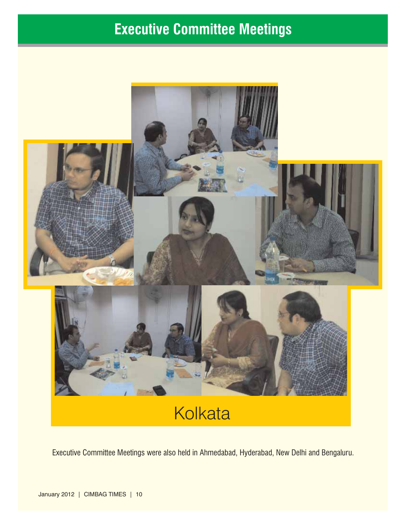## **Executive Committee Meetings**



## **Kolkata**

Executive Committee Meetings were also held in Ahmedabad, Hyderabad, New Delhi and Bengaluru.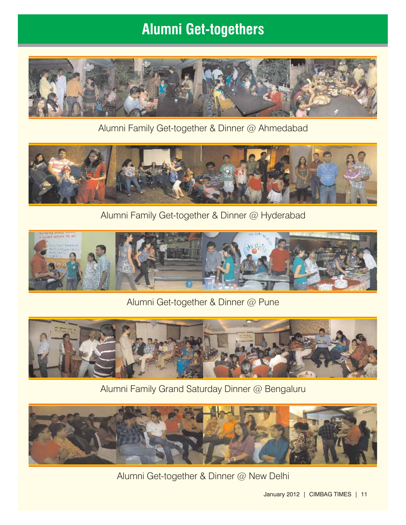### **Alumni Get-togethers**



Alumni Family Get-together & Dinner @ Ahmedabad



Alumni Family Get-together & Dinner @ Hyderabad



Alumni Get-together & Dinner @ Pune

![](_page_10_Picture_7.jpeg)

Alumni Family Grand Saturday Dinner @ Bengaluru

![](_page_10_Picture_9.jpeg)

Alumni Get-together & Dinner @ New Delhi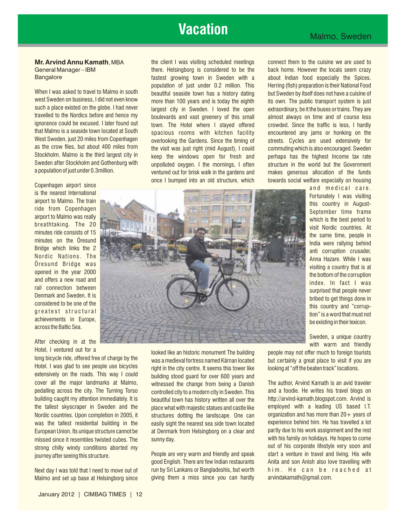### **Vacation**

Hotel. I was glad to see people use bicycles right in the city centre. It seems this tower like looking at "off the beaten track" locations.<br>extensively on the roads. This way I could building stood quard for over 600 year extensively on the roads. This way I could building stood guard for over 600 years and<br>cover all the major landmarks at Malmo, buitnessed the change from being a Danish pedalling across the city. The Turning Torso controlled city to a modern city in Sweden. This and a foodie. He writes his travel blogs on building caught my attention immediately. It is beguithed city to a modern city in S building caught my attention immediately. It is beautiful town has history written all over the http://arvind-kamath.blogspot.com. Arvind is based I.T. the tallest skyscraper in Sweden and the place what with majestic statues and castle like Nordic countries. Upon completion in 2005, it structures dotting the landscape. One can organization and has more than 20+ years of variable was the tallest residential building in the easily sight the nearest sea side tow was the tallest residential building in the easily sight the nearest sea side town located European Union. Its unique structure cannot be at Denmark from Helsingborg on a clear and partly due to his work assignment and the rest missed since it resembles twisted cubes. The sunny day. While the sunny of the sunny day with his family on holidays. He hopes to come strong chilly windy conditions aborted my<br>iourney after seeing this structure entity recople are very warm and friendly and speak start a venture in travel and living. His wife

Malmo and set up base at Helsingborg since giving them a miss since you can hardly arvindakamath@gmail.com.

General Manager – IBM there. Helsingborg is considered to be the back home. However the locals seem crazy Bangalore **fastest growing town in Sweden with a** about Indian food especially the Spices. population of just under 0.2 million. This Herring (fish) preparation is their National Food When I was asked to travel to Malmo in south beautiful seaside town has a history dating but Sweden by itself does not have a cuisine of version of the but Sweden by itself does not have a cuisine of version is instituted west Sweden on business, I did not even know more than 100 years and is today the eighth its own. The public transport system is just<br>Such a place existed on the globe. I had never largest city in Sweden I Joyed the onen e such a place existed on the globe. I had never largest city in Sweden. I loved the open extraordinary, be it the buses or trains. They are<br>travelled to the Nordics before and hence my boulevards and vast greenery of this s travelled to the Nordics before and hence my boulevards and vast greenery of this small almost always on time and of course less<br>ignorance could be excused. I later found out town. The Hotel where I staved offered a crowde ignorance could be excused. I later found out town. The Hotel where I stayed offered crowded. Since the traffic is less, I hardly<br>that Malmo is a seaside town located at South spacious rooms with kitchen facility encounter that Malmo is a seaside fown located at South spacious rooms with kitchen facility encountered any jams or honking on the<br>West Sweden, just 20 miles from Copenhagen spacious overlooking the Gardens Since the timing of stre West Sweden, just 20 miles from Copenhagen overlooking the Gardens. Since the timing of streets. Cycles are used extensively for<br>as the crow flies, but about 400 miles from the visit was just right (mid August) Loculd comm as the crow flies, but about 400 miles from the visit was just right (mid August), I could commuting which is also encouraged. Sweden<br>Stockholm, Malmo is the third largest city in the read the windows onen for fresh, and t Stockholm. Malmo is the third largest city in the keep the windows open for fresh and the perhaps has the highest Income tax rate<br>Sweden after Stockholm and Gothenburg with the unnolluted oxygen. I the mornings Loften the Sweden after Stockholm and Gothenburg with unpolluted oxygen. I the mornings, I often structure in the world but the Government appollation of the funds ventured out for brisk walk in the gardens and makes generous allocation of the funds

**Mr. Arvind Annu Kamath**, MBA the client I was visiting scheduled meetings connect them to the cuisine we are used to

![](_page_11_Picture_10.jpeg)

witnessed the change from being a Danish The author, Arvind Kamath is an avid traveler<br>controlled city to a modern city in Sweden This and a foodie. He writes his travel blogs on

Next day I was told that I need to move out of run by Sri Lankans or Bangladeshis, but worth him. He can be reached at

People are very warm and friendly and speak start a venture in travel and living. His wife journey after seeing this structure. Anita and son Anish also love travelling with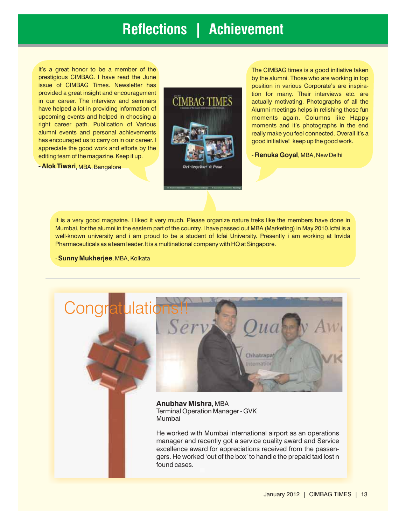### **Reflections | Achievement**

It's a great honor to be a member of the prestigious CIMBAG. I have read the June issue of CIMBAG Times. Newsletter has provided a great insight and encouragement in our career. The interview and seminars have helped a lot in providing information of upcoming events and helped in choosing a right career path. Publication of Various alumni events and personal achievements has encouraged us to carry on in our career. I appreciate the good work and efforts by the editing team of the magazine. Keep it up.

**- Alok Tiwari**, MBA, Bangalore

![](_page_12_Picture_3.jpeg)

The CIMBAG times is a good initiative taken by the alumni. Those who are working in top position in various Corporate's are inspiration for many. Their interviews etc. are actually motivating. Photographs of all the Alumni meetings helps in relishing those fun moments again. Columns like Happy moments and it's photographs in the end really make you feel connected. Overall it's a good initiative! keep up the good work.

- **Renuka Goyal**, MBA, New Delhi

It is a very good magazine. I liked it very much. Please organize nature treks like the members have done in Mumbai, for the alumni in the eastern part of the country. I have passed out MBA (Marketing) in May 2010.Icfai is a well-known university and i am proud to be a student of Icfai University. Presently i am working at Invida Pharmaceuticals as a team leader. It is a multinational company with HQ at Singapore.

- **Sunny Mukherjee**, MBA, Kolkata

![](_page_12_Picture_8.jpeg)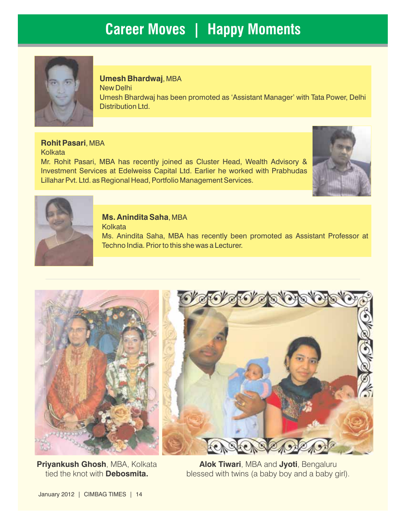### **Career Moves | Happy Moments**

![](_page_13_Picture_1.jpeg)

#### **Umesh Bhardwaj**, MBA

New Delhi Umesh Bhardwaj has been promoted as 'Assistant Manager' with Tata Power, Delhi Distribution Ltd.

**Rohit Pasari**, MBA **Kolkata** Mr. Rohit Pasari, MBA has recently joined as Cluster Head, Wealth Advisory & Investment Services at Edelweiss Capital Ltd. Earlier he worked with Prabhudas Lillahar Pvt. Ltd. as Regional Head, Portfolio Management Services.

![](_page_13_Picture_5.jpeg)

![](_page_13_Picture_6.jpeg)

#### **Ms. Anindita Saha**, MBA

**Kolkata** 

Ms. Anindita Saha, MBA has recently been promoted as Assistant Professor at Techno India. Prior to this she was a Lecturer.

![](_page_13_Picture_10.jpeg)

**Priyankush Ghosh**, MBA, Kolkata tied the knot with **Debosmita.**

![](_page_13_Picture_12.jpeg)

**Alok Tiwari**, MBA and **Jyoti**, Bengaluru blessed with twins (a baby boy and a baby girl).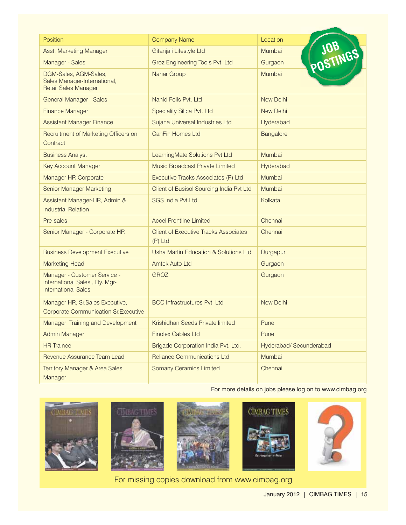| Position                                                                                    | <b>Company Name</b>                                       | Location                |
|---------------------------------------------------------------------------------------------|-----------------------------------------------------------|-------------------------|
| Asst. Marketing Manager                                                                     | Gitanjali Lifestyle Ltd                                   | Mumbai                  |
| Manager - Sales                                                                             | Groz Engineering Tools Pvt. Ltd                           | POSTINGS<br>Gurgaon     |
| DGM-Sales, AGM-Sales,<br>Sales Manager-International,<br><b>Retail Sales Manager</b>        | Nahar Group                                               | Mumbai                  |
| <b>General Manager - Sales</b>                                                              | Nahid Foils Pvt. Ltd                                      | <b>New Delhi</b>        |
| <b>Finance Manager</b>                                                                      | Speciality Silica Pvt. Ltd                                | <b>New Delhi</b>        |
| <b>Assistant Manager Finance</b>                                                            | Sujana Universal Industries Ltd                           | Hyderabad               |
| Recruitment of Marketing Officers on<br>Contract                                            | <b>CanFin Homes Ltd</b>                                   | <b>Bangalore</b>        |
| <b>Business Analyst</b>                                                                     | LearningMate Solutions Pvt Ltd                            | Mumbai                  |
| <b>Key Account Manager</b>                                                                  | Music Broadcast Private Limited                           | Hyderabad               |
| Manager HR-Corporate                                                                        | Executive Tracks Associates (P) Ltd                       | Mumbai                  |
| <b>Senior Manager Marketing</b>                                                             | Client of Busisol Sourcing India Pvt Ltd                  | Mumbai                  |
| Assistant Manager-HR, Admin &<br><b>Industrial Relation</b>                                 | <b>SGS India Pvt.Ltd</b>                                  | Kolkata                 |
| Pre-sales                                                                                   | <b>Accel Frontline Limited</b>                            | Chennai                 |
| Senior Manager - Corporate HR                                                               | <b>Client of Executive Tracks Associates</b><br>$(P)$ Ltd | Chennai                 |
| <b>Business Development Executive</b>                                                       | Usha Martin Education & Solutions Ltd                     | Durgapur                |
| <b>Marketing Head</b>                                                                       | Amtek Auto Ltd                                            | Gurgaon                 |
| Manager - Customer Service -<br>International Sales, Dy. Mgr-<br><b>International Sales</b> | <b>GROZ</b>                                               | Gurgaon                 |
| Manager-HR, Sr.Sales Executive,<br><b>Corporate Communication Sr. Executive</b>             | <b>BCC Infrastructures Pvt. Ltd</b>                       | <b>New Delhi</b>        |
| Manager Training and Development                                                            | Krishidhan Seeds Private limited                          | Pune                    |
| <b>Admin Manager</b>                                                                        | <b>Finolex Cables Ltd</b>                                 | Pune                    |
| <b>HR</b> Trainee                                                                           | Brigade Corporation India Pvt. Ltd.                       | Hyderabad/ Secunderabad |
| Revenue Assurance Team Lead                                                                 | <b>Reliance Communications Ltd</b>                        | Mumbai                  |
| <b>Territory Manager &amp; Area Sales</b><br>Manager                                        | <b>Somany Ceramics Limited</b>                            | Chennai                 |

For more details on jobs please log on to www.cimbag.org

![](_page_14_Picture_2.jpeg)

For missing copies download from www.cimbag.org